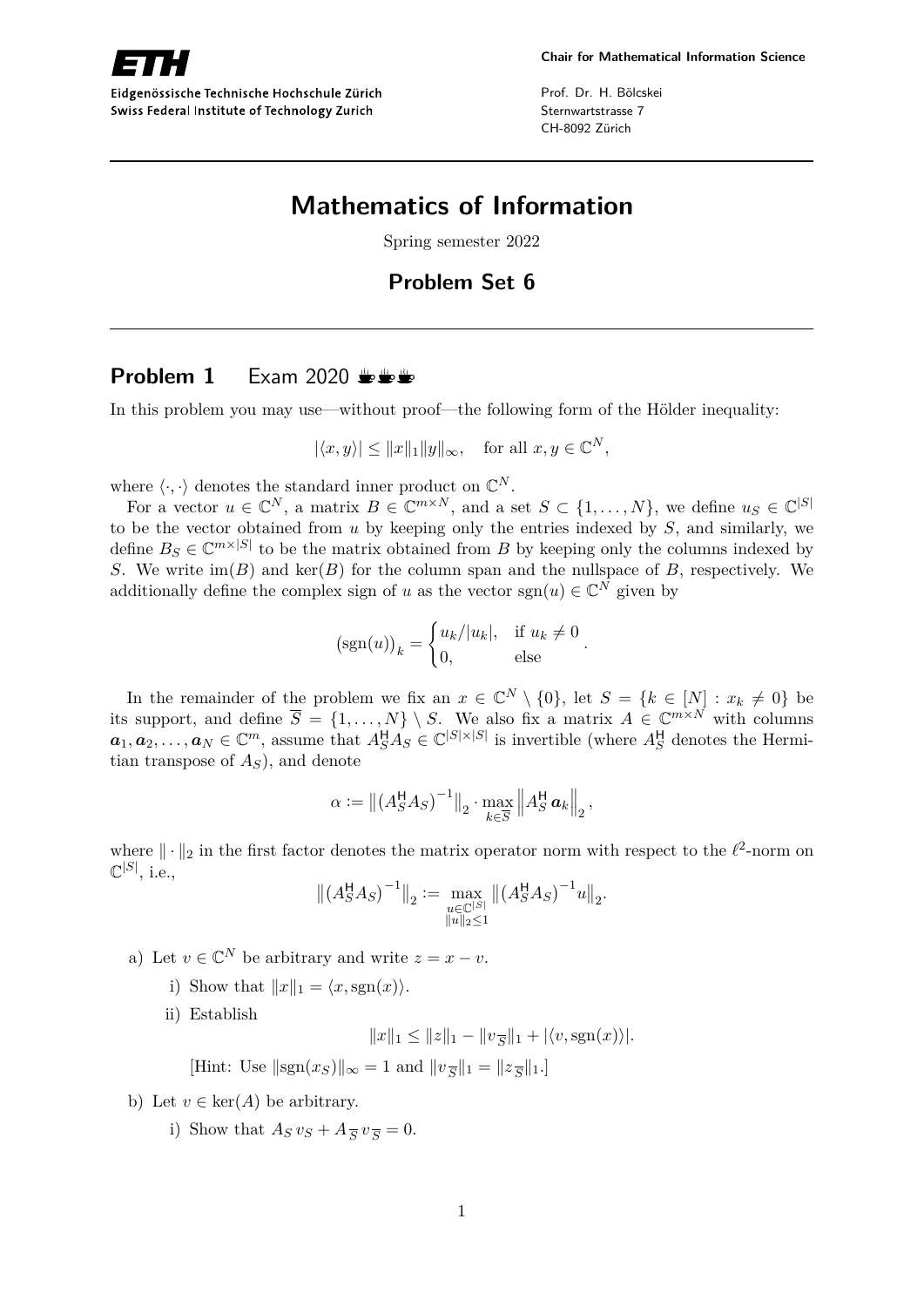

Eidgenössische Technische Hochschule Zürich Swiss Federal Institute of Technology Zurich

Prof. Dr. H. Bölcskei Sternwartstrasse 7 CH-8092 Zürich

# **Mathematics of Information**

Spring semester 2022

## **Problem Set 6**

### **Problem 1** Exam 2020  $\frac{1}{2}$

In this problem you may use—without proof—the following form of the Hölder inequality:

$$
|\langle x, y \rangle| \le ||x||_1 ||y||_{\infty}, \text{ for all } x, y \in \mathbb{C}^N,
$$

where  $\langle \cdot, \cdot \rangle$  denotes the standard inner product on  $\mathbb{C}^N$ .

For a vector  $u \in \mathbb{C}^N$ , a matrix  $B \in \mathbb{C}^{m \times N}$ , and a set  $S \subset \{1, ..., N\}$ , we define  $u_S \in \mathbb{C}^{|S|}$ to be the vector obtained from *u* by keeping only the entries indexed by *S*, and similarly, we define  $B_S \in \mathbb{C}^{m \times |S|}$  to be the matrix obtained from *B* by keeping only the columns indexed by *S*. We write  $\text{im}(B)$  and  $\text{ker}(B)$  for the column span and the nullspace of *B*, respectively. We additionally define the complex sign of *u* as the vector  $sgn(u) \in \mathbb{C}^N$  given by

$$
(\operatorname{sgn}(u))_k = \begin{cases} u_k/|u_k|, & \text{if } u_k \neq 0 \\ 0, & \text{else} \end{cases}.
$$

In the remainder of the problem we fix an  $x \in \mathbb{C}^N \setminus \{0\}$ , let  $S = \{k \in [N] : x_k \neq 0\}$  be its support, and define  $\overline{S} = \{1, \ldots, N\} \setminus S$ . We also fix a matrix  $A \in \mathbb{C}^{m \times N}$  with columns  $a_1, a_2, \ldots, a_N \in \mathbb{C}^m$ , assume that  $A_S^{\mathsf{H}} A_S \in \mathbb{C}^{|S| \times |S|}$  is invertible (where  $A_S^{\mathsf{H}}$  denotes the Hermitian transpose of *AS*), and denote

$$
\alpha := \left\| \left( A_S^{\mathsf{H}} A_S \right)^{-1} \right\|_2 \cdot \max_{k \in \overline{S}} \left\| A_S^{\mathsf{H}} \mathbf{a}_k \right\|_2,
$$

where  $\|\cdot\|_2$  in the first factor denotes the matrix operator norm with respect to the  $\ell^2$ -norm on  $\mathbb{C}^{|S|}$ , i.e.,

$$
\left\| \left( A_S^{\mathsf{H}} A_S \right)^{-1} \right\|_2 := \max_{\substack{u \in \mathbb{C}^{|S|} \\ \|u\|_2 \le 1}} \left\| \left( A_S^{\mathsf{H}} A_S \right)^{-1} u \right\|_2.
$$

- a) Let  $v \in \mathbb{C}^N$  be arbitrary and write  $z = x v$ .
	- i) Show that  $||x||_1 = \langle x, \text{sgn}(x) \rangle$ .

ii) Establish

$$
||x||_1 \le ||z||_1 - ||v_{\overline{S}}||_1 + |\langle v, \text{sgn}(x) \rangle|.
$$

[Hint: Use  $||sgn(x_S)||_{\infty} = 1$  and  $||v_{\overline{S}}||_1 = ||z_{\overline{S}}||_1$ .]

- b) Let  $v \in \text{ker}(A)$  be arbitrary.
	- i) Show that  $A_S v_S + A_{\overline{S}} v_{\overline{S}} = 0.$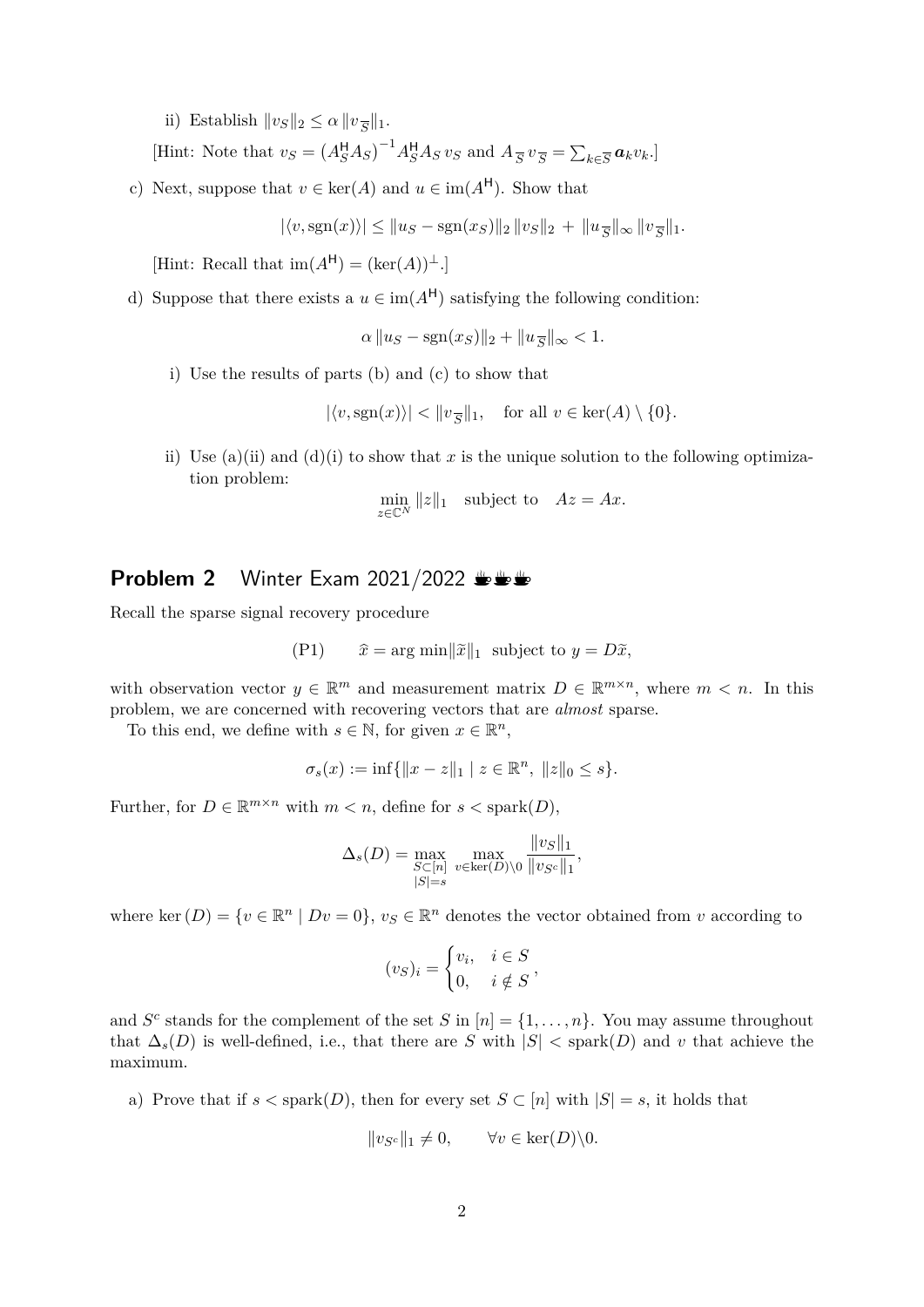ii) Establish  $||v_S||_2 \le \alpha ||v_{\overline{S}}||_1$ .

[Hint: Note that  $v_S = (A_S^H A_S)^{-1} A_S^H A_S v_S$  and  $A_{\overline{S}} v_{\overline{S}} = \sum_{k \in \overline{S}} a_k v_k$ .]

c) Next, suppose that  $v \in \text{ker}(A)$  and  $u \in \text{im}(A^{\mathsf{H}})$ . Show that

 $|\langle v, \text{sgn}(x) \rangle| \le ||u_S - \text{sgn}(x_S)||_2 ||v_S||_2 + ||u_{\overline{S}}||_{\infty} ||v_{\overline{S}}||_1.$ 

 $[Hint: Recall that im(A<sup>H</sup>) = (ker(A))<sup>\perp</sup>.]$ 

d) Suppose that there exists a  $u \in \text{im}(A^H)$  satisfying the following condition:

$$
\alpha \|u_S - \text{sgn}(x_S)\|_2 + \|u_{\overline{S}}\|_{\infty} < 1.
$$

i) Use the results of parts (b) and (c) to show that

$$
|\langle v, \text{sgn}(x) \rangle| < ||v_{\overline{S}}||_1
$$
, for all  $v \in \text{ker}(A) \setminus \{0\}.$ 

ii) Use (a)(ii) and (d)(i) to show that x is the unique solution to the following optimization problem:

$$
\min_{z \in \mathbb{C}^N} ||z||_1
$$
 subject to  $Az = Ax$ .

#### **Problem 2** Winter Exam 2021/2022 <del>UUU</del>

Recall the sparse signal recovery procedure

(P1) 
$$
\hat{x} = \arg \min ||\tilde{x}||_1
$$
 subject to  $y = D\tilde{x}$ ,

with observation vector  $y \in \mathbb{R}^m$  and measurement matrix  $D \in \mathbb{R}^{m \times n}$ , where  $m < n$ . In this problem, we are concerned with recovering vectors that are *almost* sparse.

To this end, we define with  $s \in \mathbb{N}$ , for given  $x \in \mathbb{R}^n$ ,

$$
\sigma_s(x) := \inf \{ ||x - z||_1 \mid z \in \mathbb{R}^n, \ ||z||_0 \le s \}.
$$

Further, for  $D \in \mathbb{R}^{m \times n}$  with  $m < n$ , define for  $s <$  spark $(D)$ ,

$$
\Delta_s(D) = \max_{\substack{S \subset [n] \\ |S| = s}} \max_{v \in \text{ker}(D) \setminus 0} \frac{\|v_S\|_1}{\|v_{S^c}\|_1},
$$

where ker  $(D) = \{v \in \mathbb{R}^n \mid Dv = 0\}, v_S \in \mathbb{R}^n$  denotes the vector obtained from *v* according to

$$
(v_S)_i = \begin{cases} v_i, & i \in S \\ 0, & i \notin S \end{cases}
$$

*,*

and  $S^c$  stands for the complement of the set *S* in  $[n] = \{1, \ldots, n\}$ . You may assume throughout that  $\Delta_s(D)$  is well-defined, i.e., that there are *S* with  $|S| <$  spark $(D)$  and *v* that achieve the maximum.

a) Prove that if  $s <$  spark $(D)$ , then for every set  $S \subset [n]$  with  $|S| = s$ , it holds that

$$
||v_{S^c}||_1 \neq 0, \qquad \forall v \in \text{ker}(D) \backslash 0.
$$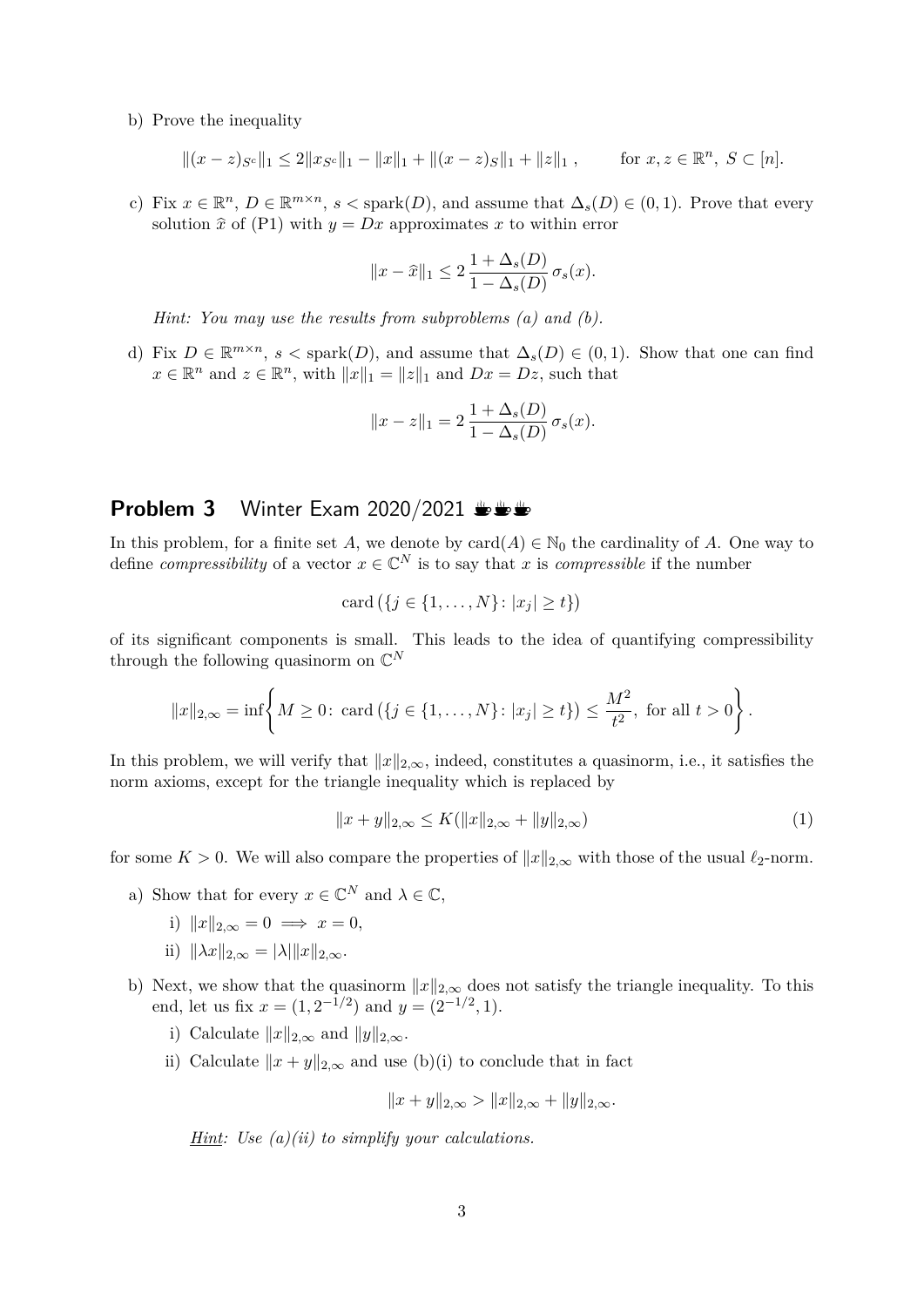b) Prove the inequality

$$
||(x-z)_{S^c}||_1 \le 2||x_{S^c}||_1 - ||x||_1 + ||(x-z)_{S}||_1 + ||z||_1, \quad \text{for } x, z \in \mathbb{R}^n, S \subset [n].
$$

c) Fix  $x \in \mathbb{R}^n$ ,  $D \in \mathbb{R}^{m \times n}$ ,  $s <$  spark $(D)$ , and assume that  $\Delta_s(D) \in (0,1)$ . Prove that every solution  $\hat{x}$  of (P1) with  $y = Dx$  approximates x to within error

$$
||x - \widehat{x}||_1 \le 2 \frac{1 + \Delta_s(D)}{1 - \Delta_s(D)} \sigma_s(x).
$$

*Hint: You may use the results from subproblems (a) and (b).*

d) Fix  $D \in \mathbb{R}^{m \times n}$ ,  $s <$  spark $(D)$ , and assume that  $\Delta_s(D) \in (0,1)$ . Show that one can find  $x \in \mathbb{R}^n$  and  $z \in \mathbb{R}^n$ , with  $||x||_1 = ||z||_1$  and  $Dx = Dz$ , such that

$$
||x - z||_1 = 2 \frac{1 + \Delta_s(D)}{1 - \Delta_s(D)} \sigma_s(x).
$$

### **Problem 3** Winter Exam 2020/2021  $\mathbf{L} \mathbf{L} \mathbf{L}$

In this problem, for a finite set *A*, we denote by  $\text{card}(A) \in \mathbb{N}_0$  the cardinality of *A*. One way to define *compressibility* of a vector  $x \in \mathbb{C}^N$  is to say that *x* is *compressible* if the number

card 
$$
(\{j \in \{1, ..., N\} : |x_j| \ge t\})
$$

of its significant components is small. This leads to the idea of quantifying compressibility through the following quasinorm on C *N*

$$
||x||_{2,\infty} = \inf \left\{ M \ge 0: \text{ card } (\{j \in \{1, ..., N\} : |x_j| \ge t\}) \le \frac{M^2}{t^2}, \text{ for all } t > 0 \right\}.
$$

In this problem, we will verify that  $||x||_{2,\infty}$ , indeed, constitutes a quasinorm, i.e., it satisfies the norm axioms, except for the triangle inequality which is replaced by

$$
||x + y||_{2,\infty} \le K(||x||_{2,\infty} + ||y||_{2,\infty})
$$
\n(1)

for some  $K > 0$ . We will also compare the properties of  $||x||_{2,\infty}$  with those of the usual  $\ell_2$ -norm.

- a) Show that for every  $x \in \mathbb{C}^N$  and  $\lambda \in \mathbb{C}$ ,
	- i)  $||x||_{2,\infty} = 0 \implies x = 0$ .
	- ii)  $\|\lambda x\|_{2,\infty} = |\lambda| \|x\|_{2,\infty}$ .
- b) Next, we show that the quasinorm  $||x||_{2,\infty}$  does not satisfy the triangle inequality. To this end, let us fix  $x = (1, 2^{-1/2})$  and  $y = (2^{-1/2}, 1)$ .
	- i) Calculate  $||x||_{2,\infty}$  and  $||y||_{2,\infty}$ .
	- ii) Calculate  $||x + y||_{2,\infty}$  and use (b)(i) to conclude that in fact

$$
||x+y||_{2,\infty} > ||x||_{2,\infty} + ||y||_{2,\infty}.
$$

*Hint: Use (a)(ii) to simplify your calculations.*